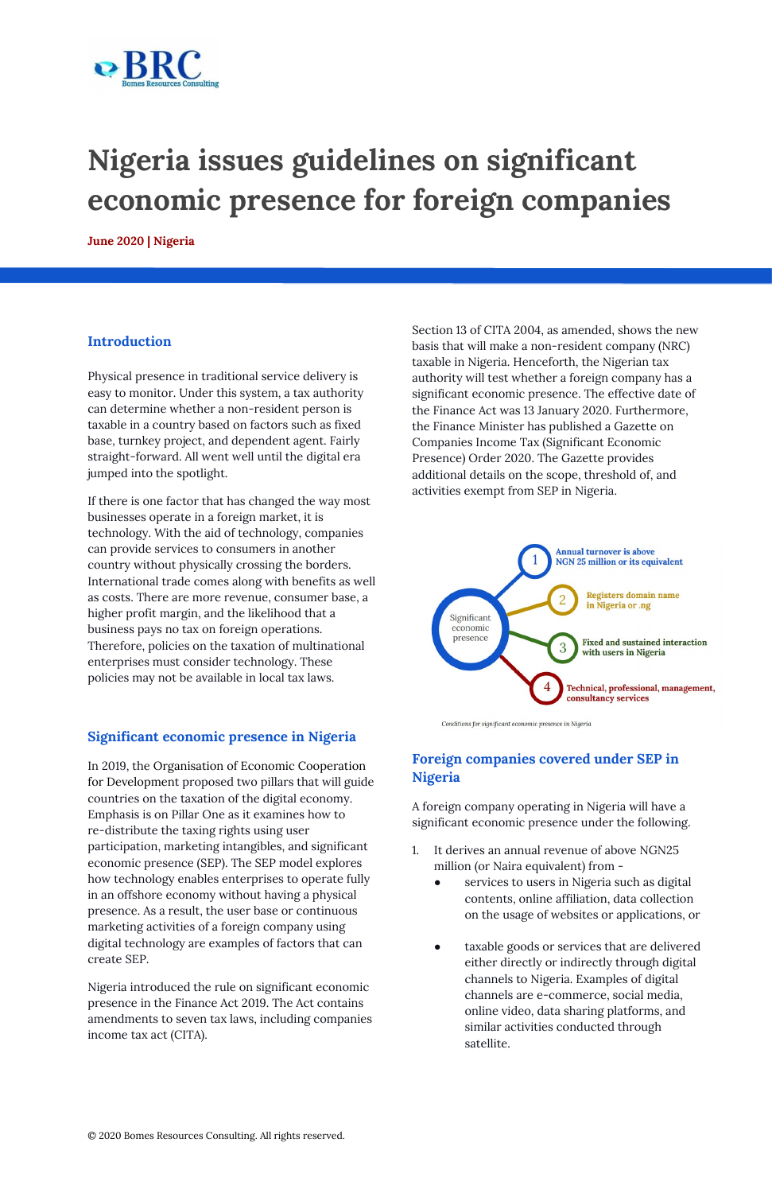

# **Nigeria issues guidelines on significant economic presence for foreign companies**

**June 2020 | Nigeria**

#### **Introduction**

Physical presence in traditional service delivery is easy to monitor. Under this system, a tax authority can determine whether a non-resident person is taxable in a country based on factors such as fixed base, turnkey project, and dependent agent. Fairly straight-forward. All went well until the digital era jumped into the spotlight.

If there is one factor that has changed the way most businesses operate in a foreign market, it is technology. With the aid of technology, companies can provide services to consumers in another country without physically crossing the borders. International trade comes along with benefits as well as costs. There are more revenue, consumer base, a higher profit margin, and the likelihood that a business pays no tax on foreign operations. Therefore, policies on the taxation of multinational enterprises must consider technology. These policies may not be available in local tax laws.

### **Significant economic presence in Nigeria**

In 2019, the [O](https://www.oecd.org/)rganisation of Economic Cooperation for Development proposed two pillars that will guide countries on the taxation of the digital economy. Emphasis is on Pillar One as it examines how to re-distribute the taxing rights using user participation, marketing intangibles, and significant economic presence (SEP). The SEP model explores how technology enables enterprises to operate fully in an offshore economy without having a physical presence. As a result, the user base or continuous marketing activities of a foreign company using digital technology are examples of factors that can create SEP.

Nigeria introduced the rule on significant economic presence in the Finance Act 2019. The Act contains amendments to seven tax laws, including companies income tax act (CITA).

Section 13 of CITA 2004, as amended, shows the new basis that will make a non-resident company (NRC) taxable in Nigeria. Henceforth, the Nigerian tax authority will test whether a foreign company has a significant economic presence. The effective date of the Finance Act was 13 January 2020. Furthermore, the Finance Minister has published a Gazette on Companies Income Tax (Significant Economic Presence) Order 2020. The Gazette provides additional details on the scope, threshold of, and activities exempt from SEP in Nigeria.



Conditions for significant economic presence in Nigeria

# **Foreign companies covered under SEP in Nigeria**

A foreign company operating in Nigeria will have a significant economic presence under the following.

1. It derives an annual revenue of above NGN25 million (or Naira equivalent) from -

- services to users in Nigeria such as digital contents, online affiliation, data collection on the usage of websites or applications, or
- taxable goods or services that are delivered either directly or indirectly through digital channels to Nigeria. Examples of digital channels are e-commerce, social media, online video, data sharing platforms, and similar activities conducted through satellite.

© 2020 Bomes Resources Consulting. All rights reserved.